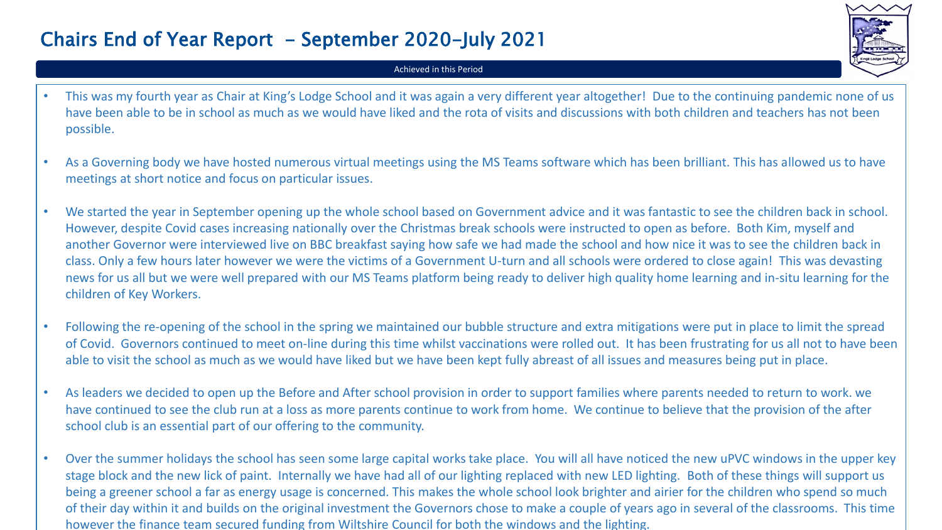## Chairs End of Year Report - September 2020-July 2021



## Achieved in this Period

- This was my fourth year as Chair at King's Lodge School and it was again a very different year altogether! Due to the continuing pandemic none of us have been able to be in school as much as we would have liked and the rota of visits and discussions with both children and teachers has not been possible.
- As a Governing body we have hosted numerous virtual meetings using the MS Teams software which has been brilliant. This has allowed us to have meetings at short notice and focus on particular issues.
- We started the year in September opening up the whole school based on Government advice and it was fantastic to see the children back in school. However, despite Covid cases increasing nationally over the Christmas break schools were instructed to open as before. Both Kim, myself and another Governor were interviewed live on BBC breakfast saying how safe we had made the school and how nice it was to see the children back in class. Only a few hours later however we were the victims of a Government U-turn and all schools were ordered to close again! This was devasting news for us all but we were well prepared with our MS Teams platform being ready to deliver high quality home learning and in-situ learning for the children of Key Workers.
- Following the re-opening of the school in the spring we maintained our bubble structure and extra mitigations were put in place to limit the spread of Covid. Governors continued to meet on-line during this time whilst vaccinations were rolled out. It has been frustrating for us all not to have been able to visit the school as much as we would have liked but we have been kept fully abreast of all issues and measures being put in place.
- As leaders we decided to open up the Before and After school provision in order to support families where parents needed to return to work. we have continued to see the club run at a loss as more parents continue to work from home. We continue to believe that the provision of the after school club is an essential part of our offering to the community.
- Over the summer holidays the school has seen some large capital works take place. You will all have noticed the new uPVC windows in the upper key stage block and the new lick of paint. Internally we have had all of our lighting replaced with new LED lighting. Both of these things will support us being a greener school a far as energy usage is concerned. This makes the whole school look brighter and airier for the children who spend so much of their day within it and builds on the original investment the Governors chose to make a couple of years ago in several of the classrooms. This time however the finance team secured funding from Wiltshire Council for both the windows and the lighting.